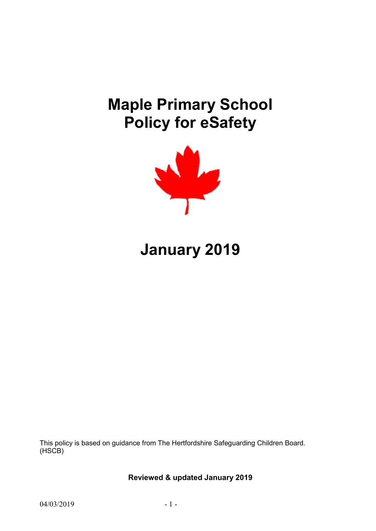# **Maple Primary School Policy for eSafety**



# **January 2019**

This policy is based on guidance from The Hertfordshire Safeguarding Children Board. (HSCB)

**Reviewed & updated January 2019**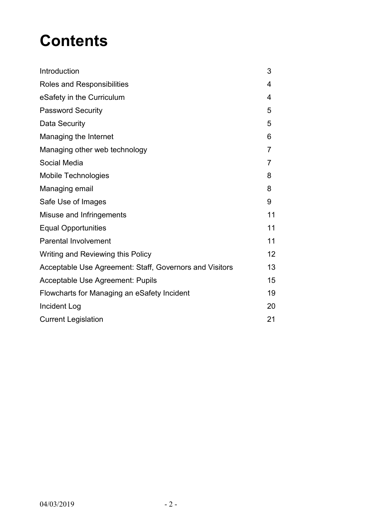# **Contents**

| Introduction                                            | 3  |
|---------------------------------------------------------|----|
| Roles and Responsibilities                              | 4  |
| eSafety in the Curriculum                               | 4  |
| <b>Password Security</b>                                | 5  |
| Data Security                                           | 5  |
| Managing the Internet                                   | 6  |
| Managing other web technology                           | 7  |
| Social Media                                            | 7  |
| <b>Mobile Technologies</b>                              | 8  |
| Managing email                                          | 8  |
| Safe Use of Images                                      | 9  |
| Misuse and Infringements                                | 11 |
| <b>Equal Opportunities</b>                              | 11 |
| <b>Parental Involvement</b>                             | 11 |
| Writing and Reviewing this Policy                       | 12 |
| Acceptable Use Agreement: Staff, Governors and Visitors | 13 |
| Acceptable Use Agreement: Pupils                        | 15 |
| Flowcharts for Managing an eSafety Incident             | 19 |
| Incident Log                                            | 20 |
| <b>Current Legislation</b>                              | 21 |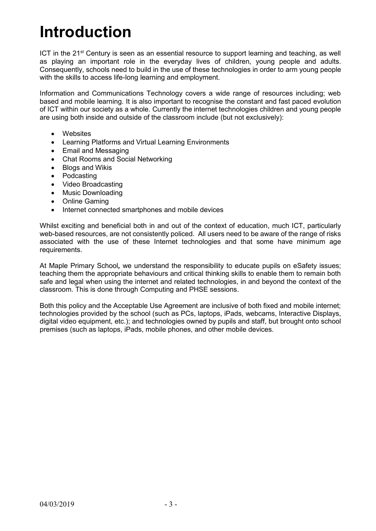# **Introduction**

ICT in the 21<sup>st</sup> Century is seen as an essential resource to support learning and teaching, as well as playing an important role in the everyday lives of children, young people and adults. Consequently, schools need to build in the use of these technologies in order to arm young people with the skills to access life-long learning and employment.

Information and Communications Technology covers a wide range of resources including; web based and mobile learning. It is also important to recognise the constant and fast paced evolution of ICT within our society as a whole. Currently the internet technologies children and young people are using both inside and outside of the classroom include (but not exclusively):

- Websites
- Learning Platforms and Virtual Learning Environments
- Email and Messaging
- Chat Rooms and Social Networking
- Blogs and Wikis
- Podcasting
- Video Broadcasting
- Music Downloading
- Online Gaming
- Internet connected smartphones and mobile devices

Whilst exciting and beneficial both in and out of the context of education, much ICT, particularly web-based resources, are not consistently policed. All users need to be aware of the range of risks associated with the use of these Internet technologies and that some have minimum age requirements.

At Maple Primary School*,* we understand the responsibility to educate pupils on eSafety issues; teaching them the appropriate behaviours and critical thinking skills to enable them to remain both safe and legal when using the internet and related technologies, in and beyond the context of the classroom. This is done through Computing and PHSE sessions.

Both this policy and the Acceptable Use Agreement are inclusive of both fixed and mobile internet; technologies provided by the school (such as PCs, laptops, iPads, webcams, Interactive Displays, digital video equipment, etc.); and technologies owned by pupils and staff, but brought onto school premises (such as laptops, iPads, mobile phones, and other mobile devices.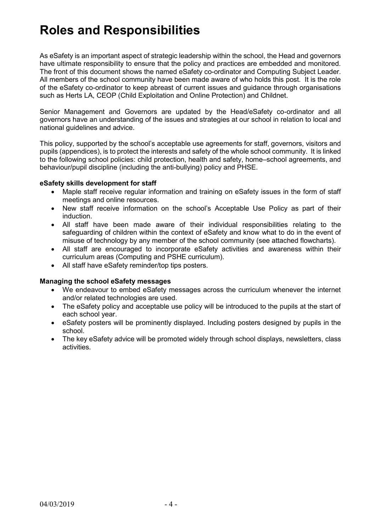## **Roles and Responsibilities**

As eSafety is an important aspect of strategic leadership within the school, the Head and governors have ultimate responsibility to ensure that the policy and practices are embedded and monitored. The front of this document shows the named eSafety co-ordinator and Computing Subject Leader. All members of the school community have been made aware of who holds this post. It is the role of the eSafety co-ordinator to keep abreast of current issues and guidance through organisations such as Herts LA, CEOP (Child Exploitation and Online Protection) and Childnet.

Senior Management and Governors are updated by the Head/eSafety co-ordinator and all governors have an understanding of the issues and strategies at our school in relation to local and national guidelines and advice.

This policy, supported by the school's acceptable use agreements for staff, governors, visitors and pupils (appendices), is to protect the interests and safety of the whole school community. It is linked to the following school policies: child protection, health and safety, home–school agreements, and behaviour/pupil discipline (including the anti-bullying) policy and PHSE.

#### **eSafety skills development for staff**

- Maple staff receive regular information and training on eSafety issues in the form of staff meetings and online resources.
- New staff receive information on the school's Acceptable Use Policy as part of their induction.
- All staff have been made aware of their individual responsibilities relating to the safeguarding of children within the context of eSafety and know what to do in the event of misuse of technology by any member of the school community (see attached flowcharts).
- All staff are encouraged to incorporate eSafety activities and awareness within their curriculum areas (Computing and PSHE curriculum).
- All staff have eSafety reminder/top tips posters.

#### **Managing the school eSafety messages**

- We endeavour to embed eSafety messages across the curriculum whenever the internet and/or related technologies are used.
- The eSafety policy and acceptable use policy will be introduced to the pupils at the start of each school year.
- eSafety posters will be prominently displayed. Including posters designed by pupils in the school.
- The key eSafety advice will be promoted widely through school displays, newsletters, class activities.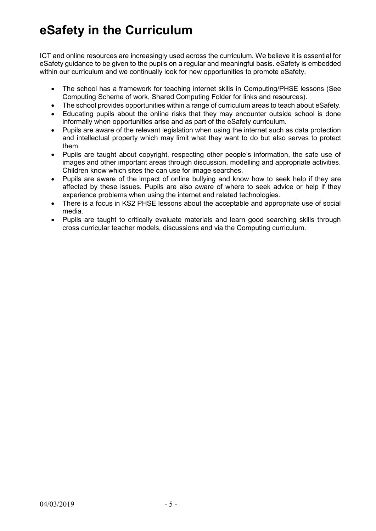### **eSafety in the Curriculum**

ICT and online resources are increasingly used across the curriculum. We believe it is essential for eSafety guidance to be given to the pupils on a regular and meaningful basis. eSafety is embedded within our curriculum and we continually look for new opportunities to promote eSafety.

- The school has a framework for teaching internet skills in Computing/PHSE lessons (See Computing Scheme of work, Shared Computing Folder for links and resources).
- The school provides opportunities within a range of curriculum areas to teach about eSafety.
- Educating pupils about the online risks that they may encounter outside school is done informally when opportunities arise and as part of the eSafety curriculum.
- Pupils are aware of the relevant legislation when using the internet such as data protection and intellectual property which may limit what they want to do but also serves to protect them.
- Pupils are taught about copyright, respecting other people's information, the safe use of images and other important areas through discussion, modelling and appropriate activities. Children know which sites the can use for image searches.
- Pupils are aware of the impact of online bullying and know how to seek help if they are affected by these issues. Pupils are also aware of where to seek advice or help if they experience problems when using the internet and related technologies.
- There is a focus in KS2 PHSE lessons about the acceptable and appropriate use of social media.
- Pupils are taught to critically evaluate materials and learn good searching skills through cross curricular teacher models, discussions and via the Computing curriculum.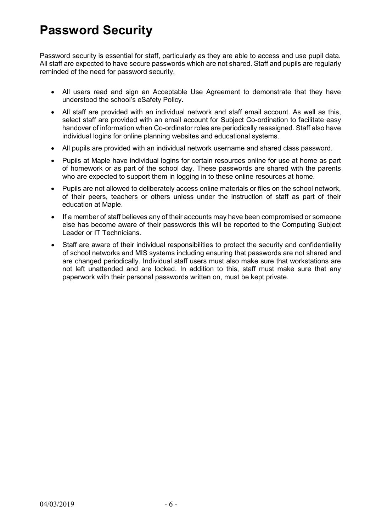### **Password Security**

Password security is essential for staff, particularly as they are able to access and use pupil data. All staff are expected to have secure passwords which are not shared. Staff and pupils are regularly reminded of the need for password security.

- All users read and sign an Acceptable Use Agreement to demonstrate that they have understood the school's eSafety Policy.
- All staff are provided with an individual network and staff email account. As well as this, select staff are provided with an email account for Subject Co-ordination to facilitate easy handover of information when Co-ordinator roles are periodically reassigned. Staff also have individual logins for online planning websites and educational systems.
- All pupils are provided with an individual network username and shared class password.
- Pupils at Maple have individual logins for certain resources online for use at home as part of homework or as part of the school day. These passwords are shared with the parents who are expected to support them in logging in to these online resources at home.
- Pupils are not allowed to deliberately access online materials or files on the school network, of their peers, teachers or others unless under the instruction of staff as part of their education at Maple.
- If a member of staff believes any of their accounts may have been compromised or someone else has become aware of their passwords this will be reported to the Computing Subject Leader or IT Technicians.
- Staff are aware of their individual responsibilities to protect the security and confidentiality of school networks and MIS systems including ensuring that passwords are not shared and are changed periodically. Individual staff users must also make sure that workstations are not left unattended and are locked. In addition to this, staff must make sure that any paperwork with their personal passwords written on, must be kept private.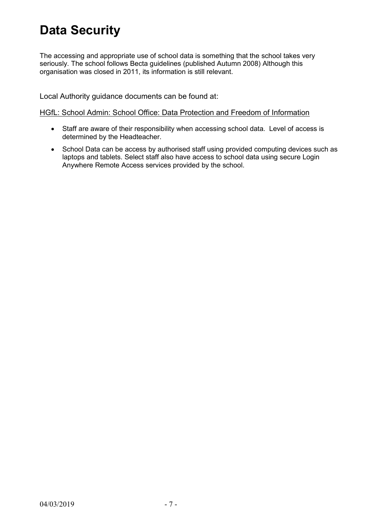## **Data Security**

The accessing and appropriate use of school data is something that the school takes very seriously. The school follows Becta guidelines (published Autumn 2008) Although this organisation was closed in 2011, its information is still relevant.

Local Authority guidance documents can be found at:

#### [HGfL: School Admin: School Office: Data Protection and Freedom of Information](http://www.thegrid.org.uk/info/dataprotection/index.shtml#securedata)

- Staff are aware of their responsibility when accessing school data. Level of access is determined by the Headteacher.
- School Data can be access by authorised staff using provided computing devices such as laptops and tablets. Select staff also have access to school data using secure Login Anywhere Remote Access services provided by the school.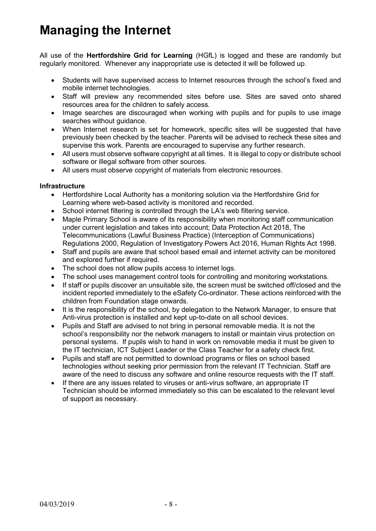## **Managing the Internet**

All use of the **Hertfordshire Grid for Learning** (HGfL) is logged and these are randomly but regularly monitored. Whenever any inappropriate use is detected it will be followed up.

- Students will have supervised access to Internet resources through the school's fixed and mobile internet technologies.
- Staff will preview any recommended sites before use. Sites are saved onto shared resources area for the children to safely access.
- Image searches are discouraged when working with pupils and for pupils to use image searches without guidance.
- When Internet research is set for homework, specific sites will be suggested that have previously been checked by the teacher. Parents will be advised to recheck these sites and supervise this work. Parents are encouraged to supervise any further research.
- All users must observe software copyright at all times. It is illegal to copy or distribute school software or illegal software from other sources.
- All users must observe copyright of materials from electronic resources.

#### **Infrastructure**

- Hertfordshire Local Authority has a monitoring solution via the Hertfordshire Grid for Learning where web-based activity is monitored and recorded.
- School internet filtering is controlled through the LA's web filtering service.
- Maple Primary School is aware of its responsibility when monitoring staff communication under current legislation and takes into account; Data Protection Act 2018, The Telecommunications (Lawful Business Practice) (Interception of Communications) Regulations 2000, Regulation of Investigatory Powers Act 2016, Human Rights Act 1998.
- Staff and pupils are aware that school based email and internet activity can be monitored and explored further if required.
- The school does not allow pupils access to internet logs.
- The school uses management control tools for controlling and monitoring workstations.
- If staff or pupils discover an unsuitable site, the screen must be switched off/closed and the incident reported immediately to the eSafety Co-ordinator. These actions reinforced with the children from Foundation stage onwards.
- It is the responsibility of the school, by delegation to the Network Manager, to ensure that Anti-virus protection is installed and kept up-to-date on all school devices.
- Pupils and Staff are advised to not bring in personal removable media. It is not the school's responsibility nor the network managers to install or maintain virus protection on personal systems. If pupils wish to hand in work on removable media it must be given to the IT technician, ICT Subject Leader or the Class Teacher for a safety check first.
- Pupils and staff are not permitted to download programs or files on school based technologies without seeking prior permission from the relevant IT Technician. Staff are aware of the need to discuss any software and online resource requests with the IT staff.
- If there are any issues related to viruses or anti-virus software, an appropriate IT Technician should be informed immediately so this can be escalated to the relevant level of support as necessary.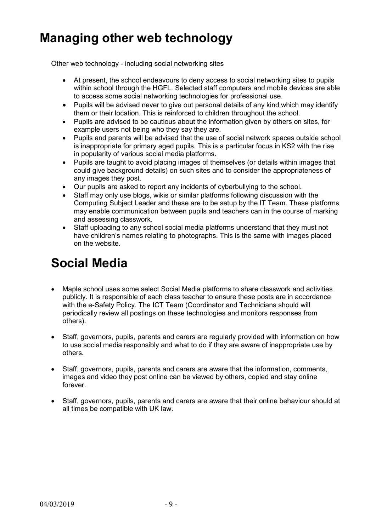### **Managing other web technology**

Other web technology - including social networking sites

- At present, the school endeavours to deny access to social networking sites to pupils within school through the HGFL. Selected staff computers and mobile devices are able to access some social networking technologies for professional use.
- Pupils will be advised never to give out personal details of any kind which may identify them or their location. This is reinforced to children throughout the school.
- Pupils are advised to be cautious about the information given by others on sites, for example users not being who they say they are.
- Pupils and parents will be advised that the use of social network spaces outside school is inappropriate for primary aged pupils. This is a particular focus in KS2 with the rise in popularity of various social media platforms.
- Pupils are taught to avoid placing images of themselves (or details within images that could give background details) on such sites and to consider the appropriateness of any images they post.
- Our pupils are asked to report any incidents of cyberbullying to the school.
- Staff may only use blogs, wikis or similar platforms following discussion with the Computing Subject Leader and these are to be setup by the IT Team. These platforms may enable communication between pupils and teachers can in the course of marking and assessing classwork.
- Staff uploading to any school social media platforms understand that they must not have children's names relating to photographs. This is the same with images placed on the website.

## **Social Media**

- Maple school uses some select Social Media platforms to share classwork and activities publicly. It is responsible of each class teacher to ensure these posts are in accordance with the e-Safety Policy. The ICT Team (Coordinator and Technicians should will periodically review all postings on these technologies and monitors responses from others).
- Staff, governors, pupils, parents and carers are regularly provided with information on how to use social media responsibly and what to do if they are aware of inappropriate use by others.
- Staff, governors, pupils, parents and carers are aware that the information, comments, images and video they post online can be viewed by others, copied and stay online forever.
- Staff, governors, pupils, parents and carers are aware that their online behaviour should at all times be compatible with UK law.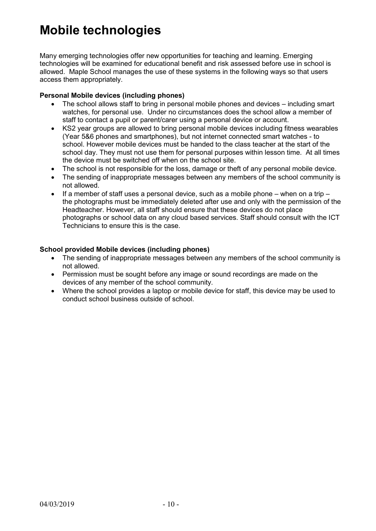### **Mobile technologies**

Many emerging technologies offer new opportunities for teaching and learning. Emerging technologies will be examined for educational benefit and risk assessed before use in school is allowed. Maple School manages the use of these systems in the following ways so that users access them appropriately.

#### **Personal Mobile devices (including phones)**

- The school allows staff to bring in personal mobile phones and devices including smart watches, for personal use. Under no circumstances does the school allow a member of staff to contact a pupil or parent/carer using a personal device or account.
- KS2 year groups are allowed to bring personal mobile devices including fitness wearables (Year 5&6 phones and smartphones), but not internet connected smart watches - to school. However mobile devices must be handed to the class teacher at the start of the school day. They must not use them for personal purposes within lesson time. At all times the device must be switched off when on the school site.
- The school is not responsible for the loss, damage or theft of any personal mobile device.
- The sending of inappropriate messages between any members of the school community is not allowed.
- If a member of staff uses a personal device, such as a mobile phone when on a trip the photographs must be immediately deleted after use and only with the permission of the Headteacher. However, all staff should ensure that these devices do not place photographs or school data on any cloud based services. Staff should consult with the ICT Technicians to ensure this is the case.

#### **School provided Mobile devices (including phones)**

- The sending of inappropriate messages between any members of the school community is not allowed.
- Permission must be sought before any image or sound recordings are made on the devices of any member of the school community.
- Where the school provides a laptop or mobile device for staff, this device may be used to conduct school business outside of school.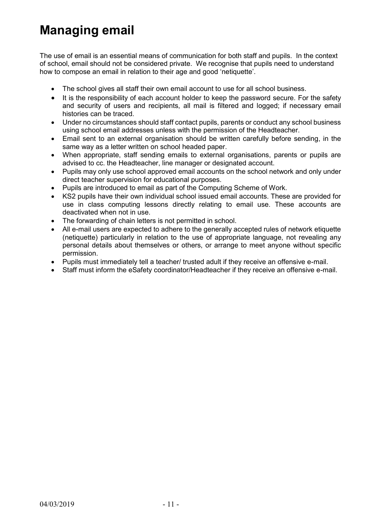## **Managing email**

The use of email is an essential means of communication for both staff and pupils. In the context of school, email should not be considered private. We recognise that pupils need to understand how to compose an email in relation to their age and good 'netiquette'.

- The school gives all staff their own email account to use for all school business.
- It is the responsibility of each account holder to keep the password secure. For the safety and security of users and recipients, all mail is filtered and logged; if necessary email histories can be traced.
- Under no circumstances should staff contact pupils, parents or conduct any school business using school email addresses unless with the permission of the Headteacher.
- Email sent to an external organisation should be written carefully before sending, in the same way as a letter written on school headed paper.
- When appropriate, staff sending emails to external organisations, parents or pupils are advised to cc. the Headteacher, line manager or designated account.
- Pupils may only use school approved email accounts on the school network and only under direct teacher supervision for educational purposes.
- Pupils are introduced to email as part of the Computing Scheme of Work.
- KS2 pupils have their own individual school issued email accounts. These are provided for use in class computing lessons directly relating to email use. These accounts are deactivated when not in use.
- The forwarding of chain letters is not permitted in school.
- All e-mail users are expected to adhere to the generally accepted rules of network etiquette (netiquette) particularly in relation to the use of appropriate language, not revealing any personal details about themselves or others, or arrange to meet anyone without specific permission.
- Pupils must immediately tell a teacher/ trusted adult if they receive an offensive e-mail.
- Staff must inform the eSafety coordinator/Headteacher if they receive an offensive e-mail.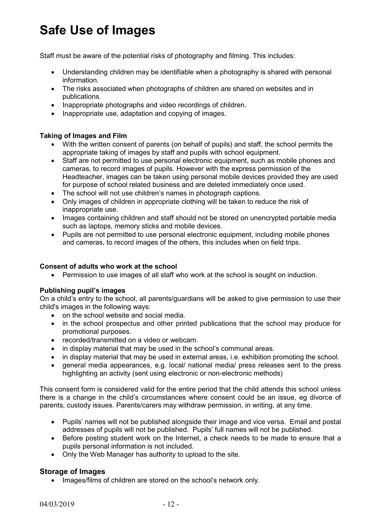## **Safe Use of Images**

Staff must be aware of the potential risks of photography and filming. This includes:

- Understanding children may be identifiable when a photography is shared with personal information.
- The risks associated when photographs of children are shared on websites and in publications.
- Inappropriate photographs and video recordings of children.
- Inappropriate use, adaptation and copying of images.

#### **Taking of Images and Film**

- With the written consent of parents (on behalf of pupils) and staff, the school permits the appropriate taking of images by staff and pupils with school equipment.
- Staff are not permitted to use personal electronic equipment, such as mobile phones and cameras, to record images of pupils. However with the express permission of the Headteacher, images can be taken using personal mobile devices provided they are used for purpose of school related business and are deleted immediately once used.
- The school will not use children's names in photograph captions.
- Only images of children in appropriate clothing will be taken to reduce the risk of inappropriate use.
- Images containing children and staff should not be stored on unencrypted portable media such as laptops, memory sticks and mobile devices.
- Pupils are not permitted to use personal electronic equipment, including mobile phones and cameras, to record images of the others, this includes when on field trips.

#### **Consent of adults who work at the school**

Permission to use images of all staff who work at the school is sought on induction.

#### **Publishing pupil's images**

On a child's entry to the school, all parents/guardians will be asked to give permission to use their child's images in the following ways:

- on the school website and social media.
- in the school prospectus and other printed publications that the school may produce for promotional purposes.
- recorded/transmitted on a video or webcam.
- in display material that may be used in the school's communal areas.
- in display material that may be used in external areas, i.e. exhibition promoting the school.
- general media appearances, e.g. local/ national media/ press releases sent to the press highlighting an activity (sent using electronic or non-electronic methods)

This consent form is considered valid for the entire period that the child attends this school unless there is a change in the child's circumstances where consent could be an issue, eg divorce of parents, custody issues. Parents/carers may withdraw permission, in writing, at any time.

- Pupils' names will not be published alongside their image and vice versa. Email and postal addresses of pupils will not be published. Pupils' full names will not be published.
- Before posting student work on the Internet, a check needs to be made to ensure that a pupils personal information is not included.
- Only the Web Manager has authority to upload to the site.

#### **Storage of Images**

• Images/films of children are stored on the school's network only.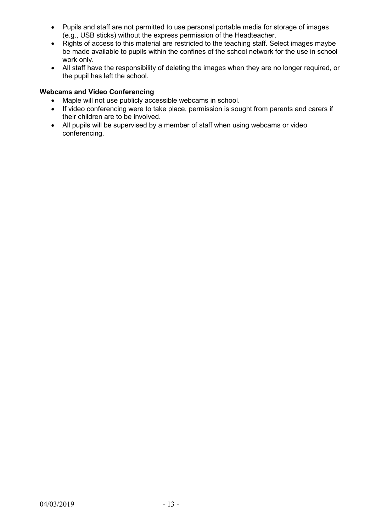- Pupils and staff are not permitted to use personal portable media for storage of images (e.g., USB sticks) without the express permission of the Headteacher.
- Rights of access to this material are restricted to the teaching staff. Select images maybe be made available to pupils within the confines of the school network for the use in school work only.
- All staff have the responsibility of deleting the images when they are no longer required, or the pupil has left the school.

#### **Webcams and Video Conferencing**

- Maple will not use publicly accessible webcams in school.
- If video conferencing were to take place, permission is sought from parents and carers if their children are to be involved.
- All pupils will be supervised by a member of staff when using webcams or video conferencing.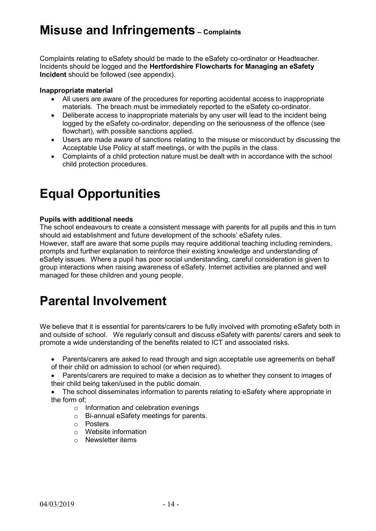### **Misuse and Infringements – Complaints**

Complaints relating to eSafety should be made to the eSafety co-ordinator or Headteacher. Incidents should be logged and the **Hertfordshire Flowcharts for Managing an eSafety Incident** should be followed (see appendix).

#### **Inappropriate material**

- All users are aware of the procedures for reporting accidental access to inappropriate materials. The breach must be immediately reported to the eSafety co-ordinator.
- Deliberate access to inappropriate materials by any user will lead to the incident being logged by the eSafety co-ordinator, depending on the seriousness of the offence (see flowchart), with possible sanctions applied.
- Users are made aware of sanctions relating to the misuse or misconduct by discussing the Acceptable Use Policy at staff meetings, or with the pupils in the class.
- Complaints of a child protection nature must be dealt with in accordance with the school child protection procedures.

## **Equal Opportunities**

#### **Pupils with additional needs**

The school endeavours to create a consistent message with parents for all pupils and this in turn should aid establishment and future development of the schools' eSafety rules. However, staff are aware that some pupils may require additional teaching including reminders, prompts and further explanation to reinforce their existing knowledge and understanding of eSafety issues. Where a pupil has poor social understanding, careful consideration is given to group interactions when raising awareness of eSafety. Internet activities are planned and well managed for these children and young people.

## **Parental Involvement**

We believe that it is essential for parents/carers to be fully involved with promoting eSafety both in and outside of school. We regularly consult and discuss eSafety with parents/ carers and seek to promote a wide understanding of the benefits related to ICT and associated risks.

- Parents/carers are asked to read through and sign acceptable use agreements on behalf of their child on admission to school (or when required).
- Parents/carers are required to make a decision as to whether they consent to images of their child being taken/used in the public domain.
- The school disseminates information to parents relating to eSafety where appropriate in the form of;
	- o Information and celebration evenings
	- o Bi-annual eSafety meetings for parents.
	- o Posters
	- o Website information
	- o Newsletter items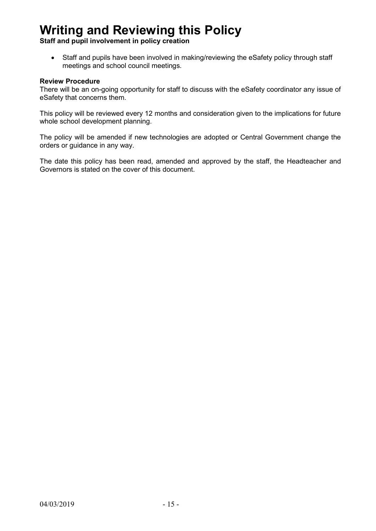### **Writing and Reviewing this Policy**

**Staff and pupil involvement in policy creation**

• Staff and pupils have been involved in making/reviewing the eSafety policy through staff meetings and school council meetings.

#### **Review Procedure**

There will be an on-going opportunity for staff to discuss with the eSafety coordinator any issue of eSafety that concerns them.

This policy will be reviewed every 12 months and consideration given to the implications for future whole school development planning.

The policy will be amended if new technologies are adopted or Central Government change the orders or guidance in any way.

The date this policy has been read, amended and approved by the staff, the Headteacher and Governors is stated on the cover of this document.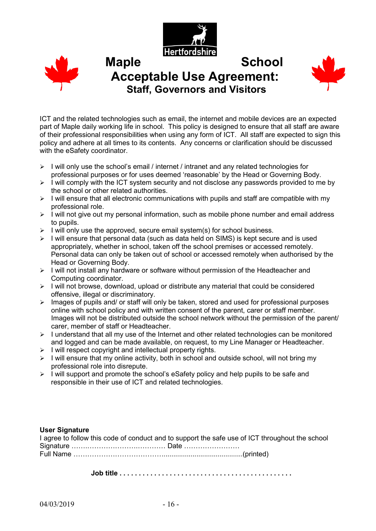



### Maple School **Acceptable Use Agreement: Staff, Governors and Visitors**



ICT and the related technologies such as email, the internet and mobile devices are an expected part of Maple daily working life in school. This policy is designed to ensure that all staff are aware of their professional responsibilities when using any form of ICT. All staff are expected to sign this policy and adhere at all times to its contents. Any concerns or clarification should be discussed with the eSafety coordinator.

- $\triangleright$  I will only use the school's email / internet / intranet and any related technologies for professional purposes or for uses deemed 'reasonable' by the Head or Governing Body.
- $\triangleright$  I will comply with the ICT system security and not disclose any passwords provided to me by the school or other related authorities.
- $\triangleright$  I will ensure that all electronic communications with pupils and staff are compatible with my professional role.
- $\triangleright$  I will not give out my personal information, such as mobile phone number and email address to pupils.
- $\triangleright$  I will only use the approved, secure email system(s) for school business.
- $\geq$  I will ensure that personal data (such as data held on SIMS) is kept secure and is used appropriately, whether in school, taken off the school premises or accessed remotely. Personal data can only be taken out of school or accessed remotely when authorised by the Head or Governing Body.
- $\triangleright$  I will not install any hardware or software without permission of the Headteacher and Computing coordinator.
- $\triangleright$  I will not browse, download, upload or distribute any material that could be considered offensive, illegal or discriminatory.
- $\triangleright$  Images of pupils and/ or staff will only be taken, stored and used for professional purposes online with school policy and with written consent of the parent, carer or staff member. Images will not be distributed outside the school network without the permission of the parent/ carer, member of staff or Headteacher.
- $\triangleright$  I understand that all my use of the Internet and other related technologies can be monitored and logged and can be made available, on request, to my Line Manager or Headteacher.
- $\triangleright$  I will respect copyright and intellectual property rights.
- $\triangleright$  I will ensure that my online activity, both in school and outside school, will not bring my professional role into disrepute.
- $\triangleright$  I will support and promote the school's eSafety policy and help pupils to be safe and responsible in their use of ICT and related technologies.

#### **User Signature**

| I agree to follow this code of conduct and to support the safe use of ICT throughout the school |  |
|-------------------------------------------------------------------------------------------------|--|
|                                                                                                 |  |
|                                                                                                 |  |
|                                                                                                 |  |

**Job title . . . . . . . . . . . . . . . . . . . . . . . . . . . . . . . . . . . . . . . . . . . . .**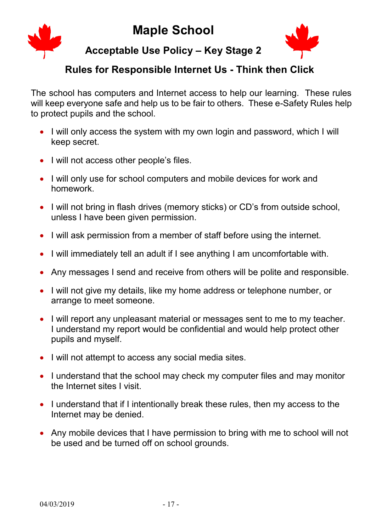### **Maple School**



### **Acceptable Use Policy – Key Stage 2**

### **Rules for Responsible Internet Us - Think then Click**

The school has computers and Internet access to help our learning. These rules will keep everyone safe and help us to be fair to others. These e-Safety Rules help to protect pupils and the school.

- I will only access the system with my own login and password, which I will keep secret.
- I will not access other people's files.
- I will only use for school computers and mobile devices for work and homework.
- I will not bring in flash drives (memory sticks) or CD's from outside school, unless I have been given permission.
- I will ask permission from a member of staff before using the internet.
- I will immediately tell an adult if I see anything I am uncomfortable with.
- Any messages I send and receive from others will be polite and responsible.
- I will not give my details, like my home address or telephone number, or arrange to meet someone.
- I will report any unpleasant material or messages sent to me to my teacher. I understand my report would be confidential and would help protect other pupils and myself.
- I will not attempt to access any social media sites.
- I understand that the school may check my computer files and may monitor the Internet sites I visit.
- I understand that if I intentionally break these rules, then my access to the Internet may be denied.
- Any mobile devices that I have permission to bring with me to school will not be used and be turned off on school grounds.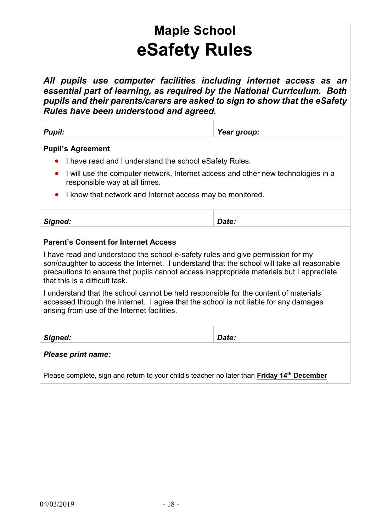# **Maple School eSafety Rules**

*All pupils use computer facilities including internet access as an essential part of learning, as required by the National Curriculum. Both pupils and their parents/carers are asked to sign to show that the eSafety Rules have been understood and agreed.*

| <b>Pupil:</b>                                                                                                                                                                                                                                                                                               | Year group: |  |  |  |  |  |  |
|-------------------------------------------------------------------------------------------------------------------------------------------------------------------------------------------------------------------------------------------------------------------------------------------------------------|-------------|--|--|--|--|--|--|
| <b>Pupil's Agreement</b>                                                                                                                                                                                                                                                                                    |             |  |  |  |  |  |  |
| I have read and I understand the school eSafety Rules.                                                                                                                                                                                                                                                      |             |  |  |  |  |  |  |
| I will use the computer network, Internet access and other new technologies in a<br>$\bullet$<br>responsible way at all times.                                                                                                                                                                              |             |  |  |  |  |  |  |
| I know that network and Internet access may be monitored.                                                                                                                                                                                                                                                   |             |  |  |  |  |  |  |
| Signed:                                                                                                                                                                                                                                                                                                     | Date:       |  |  |  |  |  |  |
| <b>Parent's Consent for Internet Access</b>                                                                                                                                                                                                                                                                 |             |  |  |  |  |  |  |
| I have read and understood the school e-safety rules and give permission for my<br>son/daughter to access the Internet. I understand that the school will take all reasonable<br>precautions to ensure that pupils cannot access inappropriate materials but I appreciate<br>that this is a difficult task. |             |  |  |  |  |  |  |
| I understand that the school cannot be held responsible for the content of materials<br>accessed through the Internet. I agree that the school is not liable for any damages<br>arising from use of the Internet facilities.                                                                                |             |  |  |  |  |  |  |
| Signed:                                                                                                                                                                                                                                                                                                     | Date:       |  |  |  |  |  |  |
| <b>Please print name:</b>                                                                                                                                                                                                                                                                                   |             |  |  |  |  |  |  |
| Please complete, sign and return to your child's teacher no later than <b>Friday 14<sup>th</sup> December</b>                                                                                                                                                                                               |             |  |  |  |  |  |  |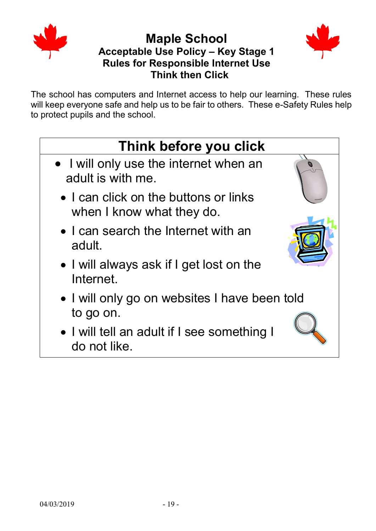

### **Maple School Acceptable Use Policy – Key Stage 1 Rules for Responsible Internet Use Think then Click**



The school has computers and Internet access to help our learning. These rules will keep everyone safe and help us to be fair to others. These e-Safety Rules help to protect pupils and the school.

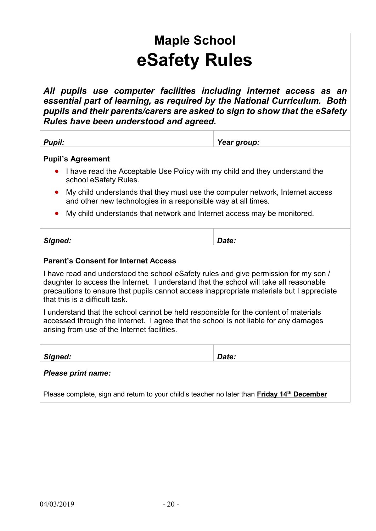# **Maple School eSafety Rules**

*All pupils use computer facilities including internet access as an essential part of learning, as required by the National Curriculum. Both pupils and their parents/carers are asked to sign to show that the eSafety Rules have been understood and agreed.*

*Pupil: Year group:* 

#### **Pupil's Agreement**

- I have read the Acceptable Use Policy with my child and they understand the school eSafety Rules.
- My child understands that they must use the computer network, Internet access and other new technologies in a responsible way at all times.
- My child understands that network and Internet access may be monitored.

#### **Parent's Consent for Internet Access**

I have read and understood the school eSafety rules and give permission for my son / daughter to access the Internet. I understand that the school will take all reasonable precautions to ensure that pupils cannot access inappropriate materials but I appreciate that this is a difficult task.

I understand that the school cannot be held responsible for the content of materials accessed through the Internet. I agree that the school is not liable for any damages arising from use of the Internet facilities.

*Signed: Date:* 

#### *Please print name:*

Please complete, sign and return to your child's teacher no later than **Friday 14th December**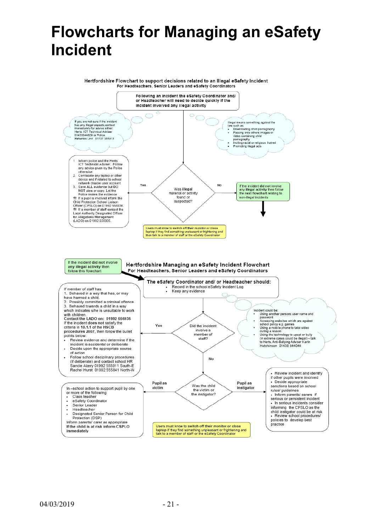# **Flowcharts for Managing an eSafety Incident**

Hertfordshire Flowchart to support decisions related to an Illegal eSafety Incident For Headteachers, Senior Leaders and eSafety Coordinators

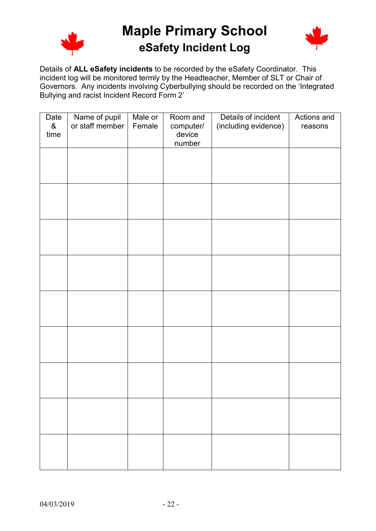

**Maple Primary School eSafety Incident Log**



Details of **ALL eSafety incidents** to be recorded by the eSafety Coordinator. This incident log will be monitored termly by the Headteacher, Member of SLT or Chair of Governors. Any incidents involving Cyberbullying should be recorded on the 'Integrated Bullying and racist Incident Record Form 2'

| Date<br>$\&$ | Name of pupil<br>or staff member | Male or<br>Female | Room and<br>computer/ | Details of incident<br>(including evidence) | Actions and<br>reasons |
|--------------|----------------------------------|-------------------|-----------------------|---------------------------------------------|------------------------|
| time         |                                  |                   | device<br>number      |                                             |                        |
|              |                                  |                   |                       |                                             |                        |
|              |                                  |                   |                       |                                             |                        |
|              |                                  |                   |                       |                                             |                        |
|              |                                  |                   |                       |                                             |                        |
|              |                                  |                   |                       |                                             |                        |
|              |                                  |                   |                       |                                             |                        |
|              |                                  |                   |                       |                                             |                        |
|              |                                  |                   |                       |                                             |                        |
|              |                                  |                   |                       |                                             |                        |
|              |                                  |                   |                       |                                             |                        |
|              |                                  |                   |                       |                                             |                        |
|              |                                  |                   |                       |                                             |                        |
|              |                                  |                   |                       |                                             |                        |
|              |                                  |                   |                       |                                             |                        |
|              |                                  |                   |                       |                                             |                        |
|              |                                  |                   |                       |                                             |                        |
|              |                                  |                   |                       |                                             |                        |
|              |                                  |                   |                       |                                             |                        |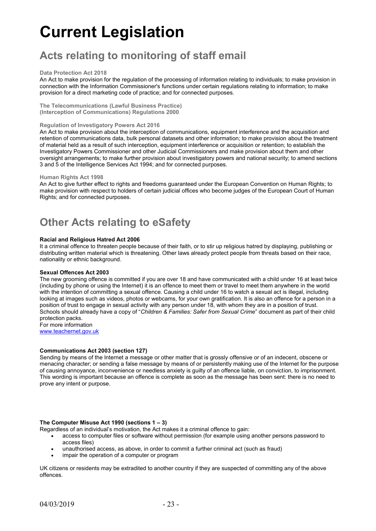# **Current Legislation**

### **Acts relating to monitoring of staff email**

#### **Data Protection Act 2018**

An Act to make provision for the regulation of the processing of information relating to individuals; to make provision in connection with the Information Commissioner's functions under certain regulations relating to information; to make provision for a direct marketing code of practice; and for connected purposes.

**The Telecommunications (Lawful Business Practice) (Interception of Communications) Regulations 2000**

#### **Regulation of Investigatory Powers Act 2016**

An Act to make provision about the interception of communications, equipment interference and the acquisition and retention of communications data, bulk personal datasets and other information; to make provision about the treatment of material held as a result of such interception, equipment interference or acquisition or retention; to establish the Investigatory Powers Commissioner and other Judicial Commissioners and make provision about them and other oversight arrangements; to make further provision about investigatory powers and national security; to amend sections 3 and 5 of the Intelligence Services Act 1994; and for connected purposes.

#### **Human Rights Act 1998**

An Act to give further effect to rights and freedoms guaranteed under the European Convention on Human Rights; to make provision with respect to holders of certain judicial offices who become judges of the European Court of Human Rights; and for connected purposes.

### **Other Acts relating to eSafety**

#### **Racial and Religious Hatred Act 2006**

It a criminal offence to threaten people because of their faith, or to stir up religious hatred by displaying, publishing or distributing written material which is threatening. Other laws already protect people from threats based on their race, nationality or ethnic background.

#### **Sexual Offences Act 2003**

The new grooming offence is committed if you are over 18 and have communicated with a child under 16 at least twice (including by phone or using the Internet) it is an offence to meet them or travel to meet them anywhere in the world with the intention of committing a sexual offence. Causing a child under 16 to watch a sexual act is illegal, including looking at images such as videos, photos or webcams, for your own gratification. It is also an offence for a person in a position of trust to engage in sexual activity with any person under 18, with whom they are in a position of trust. Schools should already have a copy of "*Children & Families: Safer from Sexual Crime*" document as part of their child protection packs.

For more information [www.teachernet.gov.uk](http://www.teachernet.gov.uk/)

#### **Communications Act 2003 (section 127)**

Sending by means of the Internet a message or other matter that is grossly offensive or of an indecent, obscene or menacing character; or sending a false message by means of or persistently making use of the Internet for the purpose of causing annoyance, inconvenience or needless anxiety is guilty of an offence liable, on conviction, to imprisonment. This wording is important because an offence is complete as soon as the message has been sent: there is no need to prove any intent or purpose.

#### **The Computer Misuse Act 1990 (sections 1 – 3)**

- Regardless of an individual's motivation, the Act makes it a criminal offence to gain:
	- access to computer files or software without permission (for example using another persons password to access files)
	- unauthorised access, as above, in order to commit a further criminal act (such as fraud)
	- impair the operation of a computer or program

UK citizens or residents may be extradited to another country if they are suspected of committing any of the above offences.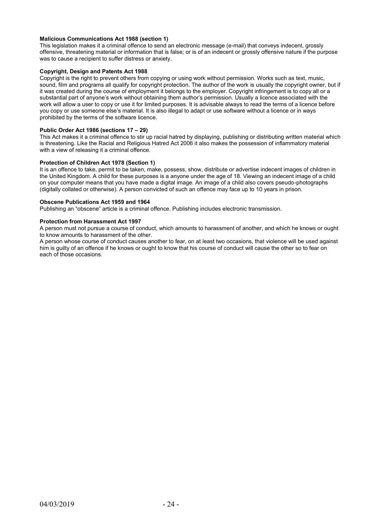#### **Malicious Communications Act 1988 (section 1)**

This legislation makes it a criminal offence to send an electronic message (e-mail) that conveys indecent, grossly offensive, threatening material or information that is false; or is of an indecent or grossly offensive nature if the purpose was to cause a recipient to suffer distress or anxiety.

#### **Copyright, Design and Patents Act 1988**

Copyright is the right to prevent others from copying or using work without permission. Works such as text, music, sound, film and programs all qualify for copyright protection. The author of the work is usually the copyright owner, but if it was created during the course of employment it belongs to the employer. Copyright infringement is to copy all or a substantial part of anyone's work without obtaining them author's permission. Usually a licence associated with the work will allow a user to copy or use it for limited purposes. It is advisable always to read the terms of a licence before you copy or use someone else's material. It is also illegal to adapt or use software without a licence or in ways prohibited by the terms of the software licence.

#### **Public Order Act 1986 (sections 17 – 29)**

This Act makes it a criminal offence to stir up racial hatred by displaying, publishing or distributing written material which is threatening. Like the Racial and Religious Hatred Act 2006 it also makes the possession of inflammatory material with a view of releasing it a criminal offence.

#### **Protection of Children Act 1978 (Section 1)**

It is an offence to take, permit to be taken, make, possess, show, distribute or advertise indecent images of children in the United Kingdom. A child for these purposes is a anyone under the age of 18. Viewing an indecent image of a child on your computer means that you have made a digital image. An image of a child also covers pseudo-photographs (digitally collated or otherwise). A person convicted of such an offence may face up to 10 years in prison.

#### **Obscene Publications Act 1959 and 1964**

Publishing an "obscene" article is a criminal offence. Publishing includes electronic transmission.

#### **Protection from Harassment Act 1997**

A person must not pursue a course of conduct, which amounts to harassment of another, and which he knows or ought to know amounts to harassment of the other.

A person whose course of conduct causes another to fear, on at least two occasions, that violence will be used against him is guilty of an offence if he knows or ought to know that his course of conduct will cause the other so to fear on each of those occasions.